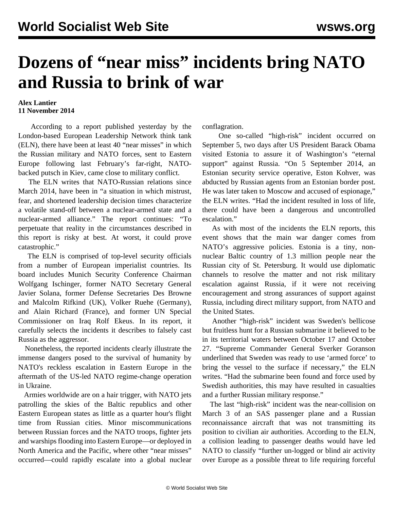## **Dozens of "near miss" incidents bring NATO and Russia to brink of war**

## **Alex Lantier 11 November 2014**

 According to a report published yesterday by the London-based European Leadership Network think tank (ELN), there have been at least 40 "near misses" in which the Russian military and NATO forces, sent to Eastern Europe following last February's far-right, NATObacked putsch in Kiev, came close to military conflict.

 The ELN writes that NATO-Russian relations since March 2014, have been in "a situation in which mistrust, fear, and shortened leadership decision times characterize a volatile stand-off between a nuclear-armed state and a nuclear-armed alliance." The report continues: "To perpetuate that reality in the circumstances described in this report is risky at best. At worst, it could prove catastrophic."

 The ELN is comprised of top-level security officials from a number of European imperialist countries. Its board includes Munich Security Conference Chairman Wolfgang Ischinger, former NATO Secretary General Javier Solana, former Defense Secretaries Des Browne and Malcolm Rifkind (UK), Volker Ruehe (Germany), and Alain Richard (France), and former UN Special Commissioner on Iraq Rolf Ekeus. In its report, it carefully selects the incidents it describes to falsely cast Russia as the aggressor.

 Nonetheless, the reported incidents clearly illustrate the immense dangers posed to the survival of humanity by NATO's reckless escalation in Eastern Europe in the aftermath of the US-led NATO regime-change operation in Ukraine.

 Armies worldwide are on a hair trigger, with NATO jets patrolling the skies of the Baltic republics and other Eastern European states as little as a quarter hour's flight time from Russian cities. Minor miscommunications between Russian forces and the NATO troops, fighter jets and warships flooding into Eastern Europe—or deployed in North America and the Pacific, where other "near misses" occurred—could rapidly escalate into a global nuclear

conflagration.

 One so-called "high-risk" incident occurred on September 5, two days after US President Barack Obama visited Estonia to assure it of Washington's "eternal support" against Russia. "On 5 September 2014, an Estonian security service operative, Eston Kohver, was abducted by Russian agents from an Estonian border post. He was later taken to Moscow and accused of espionage," the ELN writes. "Had the incident resulted in loss of life, there could have been a dangerous and uncontrolled escalation."

 As with most of the incidents the ELN reports, this event shows that the main war danger comes from NATO's aggressive policies. Estonia is a tiny, nonnuclear Baltic country of 1.3 million people near the Russian city of St. Petersburg. It would use diplomatic channels to resolve the matter and not risk military escalation against Russia, if it were not receiving encouragement and strong assurances of support against Russia, including direct military support, from NATO and the United States.

 Another "high-risk" incident was Sweden's bellicose but fruitless hunt for a Russian submarine it believed to be in its territorial waters between October 17 and October 27. "Supreme Commander General Sverker Goranson underlined that Sweden was ready to use 'armed force' to bring the vessel to the surface if necessary," the ELN writes. "Had the submarine been found and force used by Swedish authorities, this may have resulted in casualties and a further Russian military response."

 The last "high-risk" incident was the near-collision on March 3 of an SAS passenger plane and a Russian reconnaissance aircraft that was not transmitting its position to civilian air authorities. According to the ELN, a collision leading to passenger deaths would have led NATO to classify "further un-logged or blind air activity over Europe as a possible threat to life requiring forceful